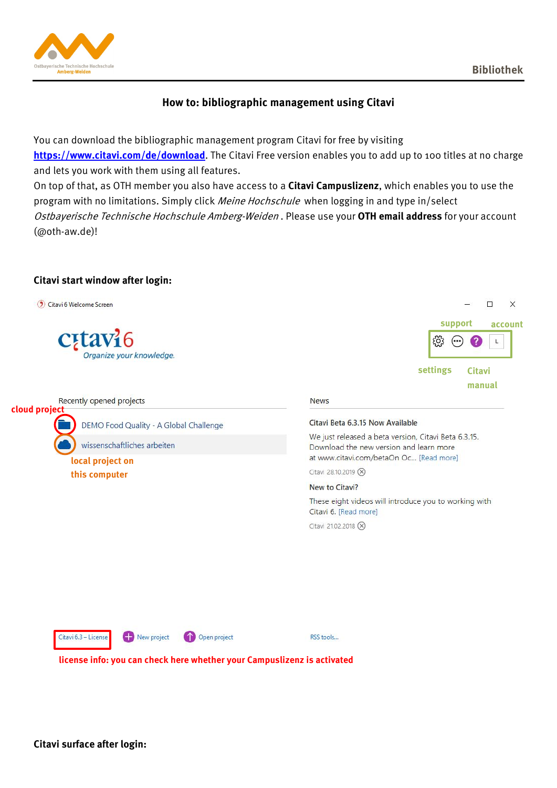

# **How to: bibliographic management using Citavi**

You can download the bibliographic management program Citavi for free by visiting **<https://www.citavi.com/de/download>**. The Citavi Free version enables you to add up to 100 titles at no charge and lets you work with them using all features.

On top of that, as OTH member you also have access to a **Citavi Campuslizenz**, which enables you to use the program with no limitations. Simply click *Meine Hochschule* when logging in and type in/select Ostbayerische Technische Hochschule Amberg-Weiden . Please use your **OTH email address** for your account (@oth-aw.de)!

## **Citavi start window after login:**

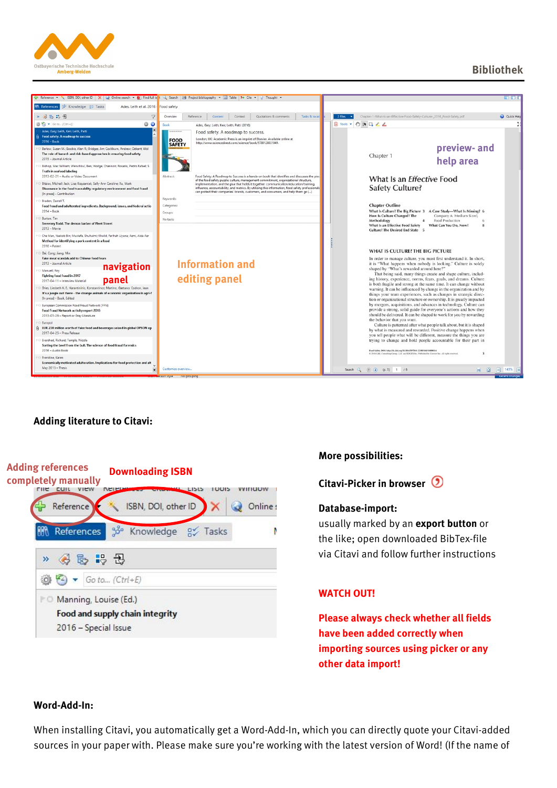



## **Adding literature to Citavi:**



## **More possibilities:**

**Citavi-Picker in browser** 

#### **Database-import:**

usually marked by an **export button** or the like; open downloaded BibTex-file via Citavi and follow further instructions

## **WATCH OUT!**

**Please always check whether all fields have been added correctly when importing sources using picker or any other data import!**

#### **Word-Add-In:**

When installing Citavi, you automatically get a Word-Add-In, which you can directly quote your Citavi-added sources in your paper with. Please make sure you're working with the latest version of Word! (If the name of